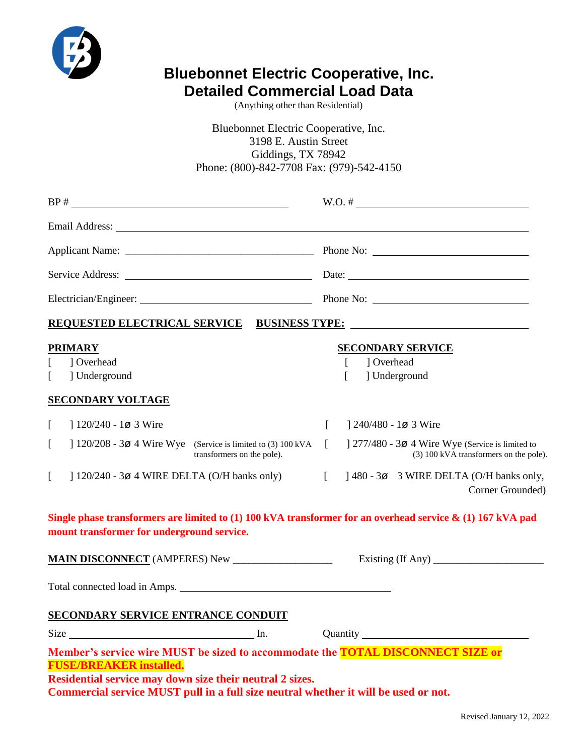

# **Bluebonnet Electric Cooperative, Inc. Detailed Commercial Load Data**

(Anything other than Residential)

Bluebonnet Electric Cooperative, Inc. 3198 E. Austin Street Giddings, TX 78942 Phone: (800)-842-7708 Fax: (979)-542-4150

|                                                                                                                                                                                                                                                                      | Date:                                                                                                |  |  |  |
|----------------------------------------------------------------------------------------------------------------------------------------------------------------------------------------------------------------------------------------------------------------------|------------------------------------------------------------------------------------------------------|--|--|--|
|                                                                                                                                                                                                                                                                      |                                                                                                      |  |  |  |
| REQUESTED ELECTRICAL SERVICE BUSINESS TYPE:                                                                                                                                                                                                                          |                                                                                                      |  |  |  |
| <b>PRIMARY</b><br>] Overhead<br>] Underground<br>$\mathbf{L}$<br><b>SECONDARY VOLTAGE</b>                                                                                                                                                                            | <b>SECONDARY SERVICE</b><br>1 Overhead<br>] Underground<br>I                                         |  |  |  |
| $\Gamma$<br>$120/240 - 103$ Wire                                                                                                                                                                                                                                     | $1240/480 - 1\phi$ 3 Wire                                                                            |  |  |  |
| ] $120/208 - 3\emptyset$ 4 Wire Wye (Service is limited to (3) 100 kVA<br>L<br>transformers on the pole).                                                                                                                                                            | $\Box$<br>1 277/480 - 30 4 Wire Wye (Service is limited to<br>(3) 100 kVA transformers on the pole). |  |  |  |
| $\begin{bmatrix} 1 & 1 \\ 1 & 1 \end{bmatrix}$<br>$\Gamma$<br>] $120/240 - 3\varnothing$ 4 WIRE DELTA (O/H banks only)                                                                                                                                               | 1480 - 3ø 3 WIRE DELTA (O/H banks only,<br>Corner Grounded)                                          |  |  |  |
| Single phase transformers are limited to $(1)$ 100 kVA transformer for an overhead service & $(1)$ 167 kVA pad<br>mount transformer for underground service.                                                                                                         |                                                                                                      |  |  |  |
|                                                                                                                                                                                                                                                                      |                                                                                                      |  |  |  |
|                                                                                                                                                                                                                                                                      |                                                                                                      |  |  |  |
| <b>SECONDARY SERVICE ENTRANCE CONDUIT</b>                                                                                                                                                                                                                            |                                                                                                      |  |  |  |
| Size In.                                                                                                                                                                                                                                                             |                                                                                                      |  |  |  |
| Member's service wire MUST be sized to accommodate the TOTAL DISCONNECT SIZE or<br><b>FUSE/BREAKER installed.</b><br>Residential service may down size their neutral 2 sizes.<br>Commercial service MUST pull in a full size neutral whether it will be used or not. |                                                                                                      |  |  |  |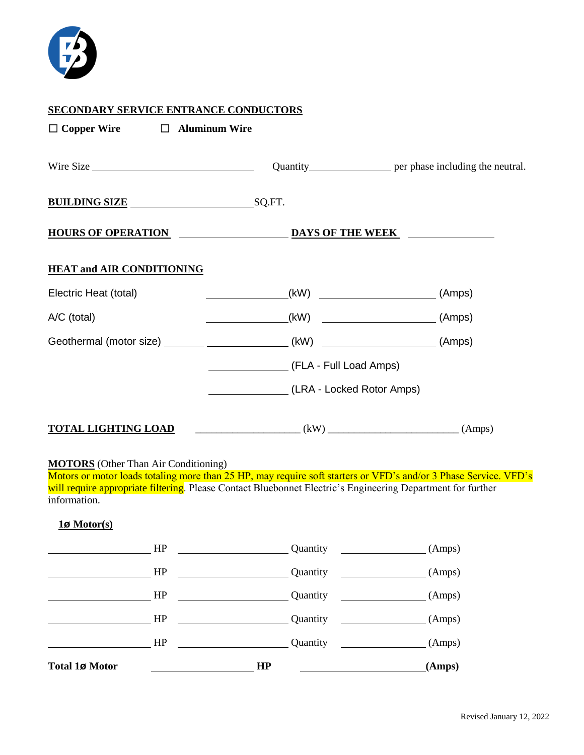

## **SECONDARY SERVICE ENTRANCE CONDUCTORS**

| $\Box$ Copper Wire $\Box$ Aluminum Wire                                               |                                             |  |  |  |
|---------------------------------------------------------------------------------------|---------------------------------------------|--|--|--|
|                                                                                       |                                             |  |  |  |
| <b>BUILDING SIZE</b> SQ.FT.                                                           |                                             |  |  |  |
| <u>HOURS OF OPERATION DAYS OF THE WEEK</u>                                            |                                             |  |  |  |
| <b>HEAT and AIR CONDITIONING</b>                                                      |                                             |  |  |  |
| Electric Heat (total)                                                                 |                                             |  |  |  |
| A/C (total)                                                                           |                                             |  |  |  |
| Geothermal (motor size) _______ __________________(kW) ________________________(Amps) |                                             |  |  |  |
|                                                                                       | (FLA - Full Load Amps)                      |  |  |  |
|                                                                                       | (LRA - Locked Rotor Amps)                   |  |  |  |
| <b>TOTAL LIGHTING LOAD</b>                                                            | $\begin{pmatrix} (kW) \end{pmatrix}$ (Amps) |  |  |  |

#### **MOTORS** (Other Than Air Conditioning)

Motors or motor loads totaling more than 25 HP, may require soft starters or VFD's and/or 3 Phase Service. VFD's will require appropriate filtering. Please Contact Bluebonnet Electric's Engineering Department for further information.

### **1ø Motor(s)**

| <b>Total 1ø Motor</b> |    | HP |          |                             | (Amps) |
|-----------------------|----|----|----------|-----------------------------|--------|
|                       | HP |    | Quantity |                             | (Amps) |
|                       | HP |    | Quantity |                             | (Amps) |
|                       | HP |    | Quantity |                             | (Amps) |
|                       | HP |    | Quantity |                             | (Amps) |
|                       | HP |    | Quantity | <u> 1980 - Andrea State</u> | (Amps) |